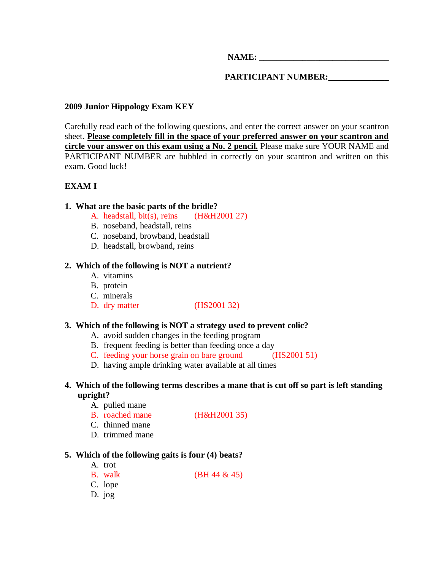**NAME:**  $\blacksquare$ 

**PARTICIPANT NUMBER:\_\_\_\_\_\_\_\_\_\_\_\_\_\_** 

# **2009 Junior Hippology Exam KEY**

Carefully read each of the following questions, and enter the correct answer on your scantron sheet. **Please completely fill in the space of your preferred answer on your scantron and circle your answer on this exam using a No. 2 pencil.** Please make sure YOUR NAME and PARTICIPANT NUMBER are bubbled in correctly on your scantron and written on this exam. Good luck!

# **EXAM I**

# **1. What are the basic parts of the bridle?**

- A. headstall, bit(s), reins (H&H2001 27)
- B. noseband, headstall, reins
- C. noseband, browband, headstall
- D. headstall, browband, reins

# **2. Which of the following is NOT a nutrient?**

- A. vitamins
- B. protein
- C. minerals
- D. dry matter (HS2001 32)

# **3. Which of the following is NOT a strategy used to prevent colic?**

- A. avoid sudden changes in the feeding program
- B. frequent feeding is better than feeding once a day
- C. feeding your horse grain on bare ground (HS2001 51)
- D. having ample drinking water available at all times

# **4. Which of the following terms describes a mane that is cut off so part is left standing upright?**

- A. pulled mane
- B. roached mane (H&H2001 35)
- C. thinned mane
- D. trimmed mane

# **5. Which of the following gaits is four (4) beats?**

- A. trot
- B. walk (BH 44 & 45)
- C. lope
- D. jog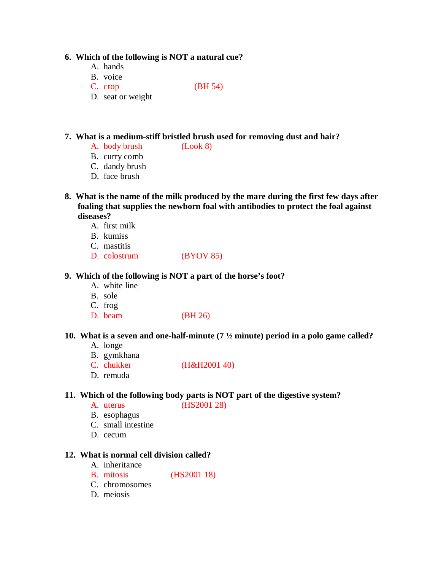#### **6. Which of the following is NOT a natural cue?**

- A. hands
- B. voice
- C. crop (BH 54)
- D. seat or weight

# **7. What is a medium-stiff bristled brush used for removing dust and hair?**

- A. body brush (Look 8)
- B. curry comb
- C. dandy brush
- D. face brush
- **8. What is the name of the milk produced by the mare during the first few days after foaling that supplies the newborn foal with antibodies to protect the foal against diseases?** 
	- A. first milk
	- B. kumiss
	- C. mastitis
	- D. colostrum (BYOV 85)

#### **9. Which of the following is NOT a part of the horse's foot?**

- A. white line
- B. sole
- C. frog
- D. beam (BH 26)

#### **10. What is a seven and one-half-minute (7 ½ minute) period in a polo game called?**

- A. longe
- B. gymkhana
- C. chukker (H&H2001 40)
- D. remuda

# **11. Which of the following body parts is NOT part of the digestive system?**

- A. uterus (HS2001 28)
- B. esophagus
- C. small intestine
- D. cecum

#### **12. What is normal cell division called?**

- A. inheritance
- B. mitosis (HS2001 18)
- C. chromosomes
- D. meiosis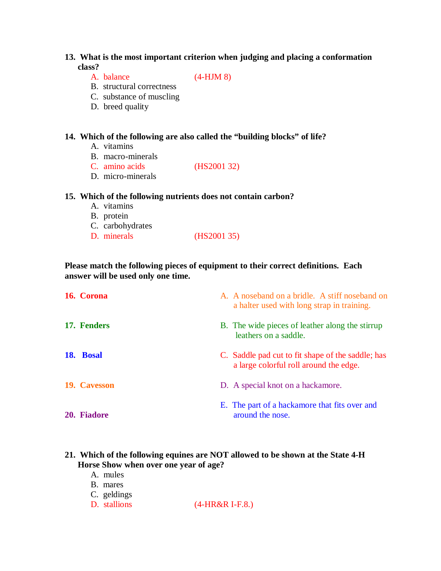# **13. What is the most important criterion when judging and placing a conformation class?**

A. balance (4-HJM 8)

- B. structural correctness
- C. substance of muscling
- D. breed quality

# **14. Which of the following are also called the "building blocks" of life?**

- A. vitamins
- B. macro-minerals
- C. amino acids (HS2001 32)
- D. micro-minerals

#### **15. Which of the following nutrients does not contain carbon?**

- A. vitamins
- B. protein
- C. carbohydrates<br>D. minerals
- $(HS2001 35)$

# **Please match the following pieces of equipment to their correct definitions. Each answer will be used only one time.**

| 16. Corona   | A. A noseband on a bridle. A stiff noseband on<br>a halter used with long strap in training. |
|--------------|----------------------------------------------------------------------------------------------|
| 17. Fenders  | B. The wide pieces of leather along the stirrup<br>leathers on a saddle.                     |
| 18. Bosal    | C. Saddle pad cut to fit shape of the saddle; has<br>a large colorful roll around the edge.  |
| 19. Cavesson | D. A special knot on a hackamore.                                                            |
| 20. Fiadore  | E. The part of a hackamore that fits over and<br>around the nose.                            |

# **21. Which of the following equines are NOT allowed to be shown at the State 4-H Horse Show when over one year of age?**

- A. mules
- B. mares
- C. geldings<br>D. stallions
- $(4-HR&R I-F.8.)$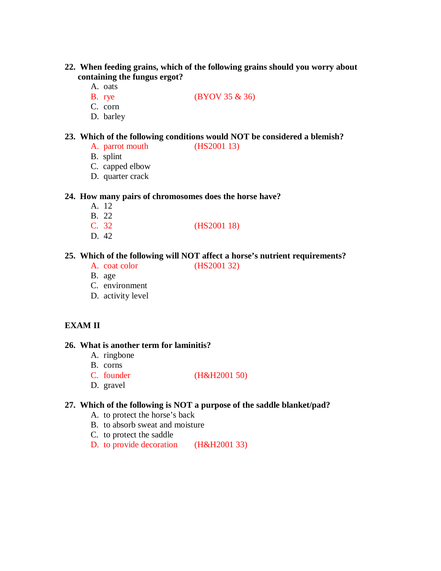- **22. When feeding grains, which of the following grains should you worry about containing the fungus ergot?** 
	- A. oats
	- B. rye (BYOV 35 & 36)
	- C. corn
	- D. barley

### **23. Which of the following conditions would NOT be considered a blemish?**

- A. parrot mouth (HS2001 13)
- B. splint
- C. capped elbow
- D. quarter crack

#### **24. How many pairs of chromosomes does the horse have?**

- A. 12
- B. 22
- C. 32 (HS2001 18)
- D. 42

# **25. Which of the following will NOT affect a horse's nutrient requirements?**

- A. coat color (HS2001 32)
- B. age
- C. environment
- D. activity level

# **EXAM II**

#### **26. What is another term for laminitis?**

- A. ringbone
- B. corns
- C. founder (H&H2001 50)

D. gravel

#### **27. Which of the following is NOT a purpose of the saddle blanket/pad?**

- A. to protect the horse's back
- B. to absorb sweat and moisture
- C. to protect the saddle
- D. to provide decoration (H&H2001 33)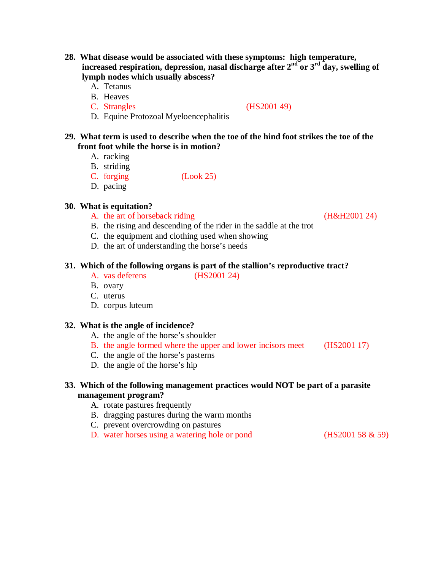- **28. What disease would be associated with these symptoms: high temperature, increased respiration, depression, nasal discharge after 2nd or 3rd day, swelling of lymph nodes which usually abscess?** 
	- A. Tetanus
	- B. Heaves
	-

C. Strangles (HS2001 49)

D. Equine Protozoal Myeloencephalitis

# **29. What term is used to describe when the toe of the hind foot strikes the toe of the front foot while the horse is in motion?**

- A. racking
- B. striding
- C. forging (Look 25)
- D. pacing

# **30. What is equitation?**

- A. the art of horseback riding (H&H2001 24)
- B. the rising and descending of the rider in the saddle at the trot
- C. the equipment and clothing used when showing
- D. the art of understanding the horse's needs

# **31. Which of the following organs is part of the stallion's reproductive tract?**

- A. vas deferens (HS2001 24)
- B. ovary
- C. uterus
- D. corpus luteum

#### **32. What is the angle of incidence?**

- A. the angle of the horse's shoulder
- B. the angle formed where the upper and lower incisors meet (HS2001 17)
- C. the angle of the horse's pasterns
- D. the angle of the horse's hip

# **33. Which of the following management practices would NOT be part of a parasite management program?**

- A. rotate pastures frequently
- B. dragging pastures during the warm months
- C. prevent overcrowding on pastures
- D. water horses using a watering hole or pond (HS2001 58 & 59)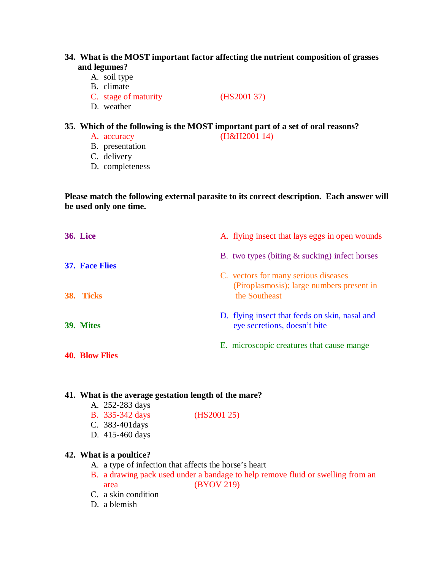# **34. What is the MOST important factor affecting the nutrient composition of grasses and legumes?**

- A. soil type
- B. climate
- C. stage of maturity (HS2001 37)
- D. weather

# **35. Which of the following is the MOST important part of a set of oral reasons?**

- A. accuracy (H&H2001 14)
- B. presentation
- C. delivery
- D. completeness

**Please match the following external parasite to its correct description. Each answer will be used only one time.** 

| <b>36. Lice</b>                    | A. flying insect that lays eggs in open wounds                                                     |
|------------------------------------|----------------------------------------------------------------------------------------------------|
| <b>37. Face Flies</b><br>38. Ticks | B. two types (biting $\&$ sucking) infect horses                                                   |
|                                    | C. vectors for many serious diseases<br>(Piroplasmosis); large numbers present in<br>the Southeast |
| 39. Mites                          | D. flying insect that feeds on skin, nasal and<br>eye secretions, doesn't bite                     |
| <b>40. Blow Flies</b>              | E. microscopic creatures that cause mange                                                          |

# **41. What is the average gestation length of the mare?**

- A. 252-283 days
- B. 335-342 days (HS2001 25)
- C. 383-401days
- D. 415-460 days

#### **42. What is a poultice?**

- A. a type of infection that affects the horse's heart
- B. a drawing pack used under a bandage to help remove fluid or swelling from an area (BYOV 219)
- C. a skin condition
- D. a blemish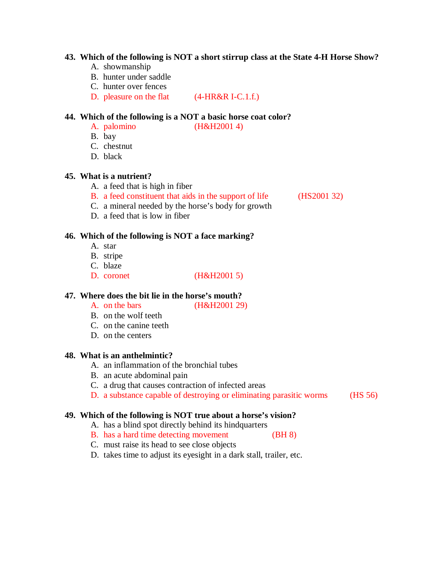#### **43. Which of the following is NOT a short stirrup class at the State 4-H Horse Show?**

- A. showmanship
- B. hunter under saddle
- C. hunter over fences
- D. pleasure on the flat (4-HR&R I-C.1.f.)

# **44. Which of the following is a NOT a basic horse coat color?**

- $(H&H2001 4)$
- B. bay
- C. chestnut
- D. black

#### **45. What is a nutrient?**

- A. a feed that is high in fiber
- B. a feed constituent that aids in the support of life (HS2001 32) C. a mineral needed by the horse's body for growth

D. a feed that is low in fiber

# **46. Which of the following is NOT a face marking?**

- A. star
- B. stripe
- C. blaze
- D. coronet (H&H2001 5)

#### **47. Where does the bit lie in the horse's mouth?**

- A. on the bars (H&H2001 29)
- B. on the wolf teeth
- C. on the canine teeth
- D. on the centers

### **48. What is an anthelmintic?**

- A. an inflammation of the bronchial tubes
- B. an acute abdominal pain
- C. a drug that causes contraction of infected areas
- D. a substance capable of destroying or eliminating parasitic worms (HS 56)

# **49. Which of the following is NOT true about a horse's vision?**

- A. has a blind spot directly behind its hindquarters
- B. has a hard time detecting movement (BH 8)
- C. must raise its head to see close objects
- D. takes time to adjust its eyesight in a dark stall, trailer, etc.